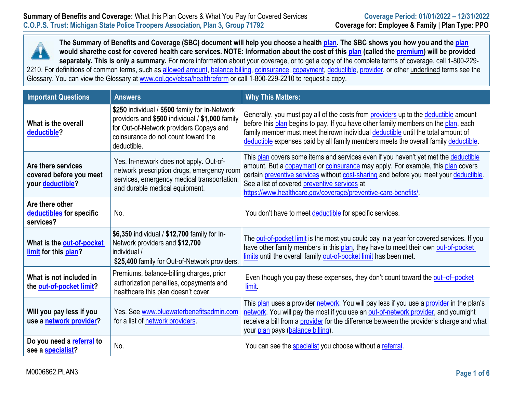

**The Summary of Benefits and Coverage (SBC) document will help you choose a health plan. The SBC shows you how you and the plan would sharethe cost for covered health care services. NOTE: Information about the cost of this plan (called the premium) will be provided separately. This is only a summary.** For more information about your coverage, or to get a copy of the complete terms of coverage, call 1-800-229- 2210. For definitions of common terms, such as <u>allowed amount, balance billing, coinsurance, copayment, deductible, provider</u>, or other <u>underlined</u> terms see the Glossary. You can view the Glossary at [www.dol.gov/ebsa/healthreform](http://www.dol.gov/ebsa/healthreform) or call 1-800-229-2210 to request a copy.

| <b>Important Questions</b>                                        | <b>Answers</b>                                                                                                                                                                                     | <b>Why This Matters:</b>                                                                                                                                                                                                                                                                                                                                                                       |
|-------------------------------------------------------------------|----------------------------------------------------------------------------------------------------------------------------------------------------------------------------------------------------|------------------------------------------------------------------------------------------------------------------------------------------------------------------------------------------------------------------------------------------------------------------------------------------------------------------------------------------------------------------------------------------------|
| What is the overall<br>deductible?                                | \$250 individual / \$500 family for In-Network<br>providers and \$500 individual / \$1,000 family<br>for Out-of-Network providers Copays and<br>coinsurance do not count toward the<br>deductible. | Generally, you must pay all of the costs from <b>providers</b> up to the deductible amount<br>before this plan begins to pay. If you have other family members on the plan, each<br>family member must meet theirown individual deductible until the total amount of<br>deductible expenses paid by all family members meets the overall family deductible.                                    |
| Are there services<br>covered before you meet<br>your deductible? | Yes. In-network does not apply. Out-of-<br>network prescription drugs, emergency room<br>services, emergency medical transportation,<br>and durable medical equipment.                             | This plan covers some items and services even if you haven't yet met the deductible<br>amount. But a <b>copayment</b> or <b>coinsurance</b> may apply. For example, this plan covers<br>certain preventive services without cost-sharing and before you meet your deductible.<br>See a list of covered preventive services at<br>https://www.healthcare.gov/coverage/preventive-care-benefits/ |
| Are there other<br>deductibles for specific<br>services?          | No.                                                                                                                                                                                                | You don't have to meet deductible for specific services.                                                                                                                                                                                                                                                                                                                                       |
| What is the out-of-pocket<br>limit for this plan?                 | \$6,350 individual / \$12,700 family for In-<br>Network providers and \$12,700<br>individual /<br>\$25,400 family for Out-of-Network providers.                                                    | The out-of-pocket limit is the most you could pay in a year for covered services. If you<br>have other family members in this plan, they have to meet their own out-of-pocket<br>limits until the overall family out-of-pocket limit has been met.                                                                                                                                             |
| What is not included in<br>the out-of-pocket limit?               | Premiums, balance-billing charges, prior<br>authorization penalties, copayments and<br>healthcare this plan doesn't cover.                                                                         | Even though you pay these expenses, they don't count toward the out-of-pocket<br>limit.                                                                                                                                                                                                                                                                                                        |
| Will you pay less if you<br>use a network provider?               | Yes. See www.bluewaterbenefitsadmin.com<br>for a list of network providers.                                                                                                                        | This plan uses a provider network. You will pay less if you use a provider in the plan's<br>network. You will pay the most if you use an out-of-network provider, and youmight<br>receive a bill from a provider for the difference between the provider's charge and what<br>your plan pays (balance billing).                                                                                |
| Do you need a referral to<br>see a specialist?                    | No.                                                                                                                                                                                                | You can see the specialist you choose without a referral.                                                                                                                                                                                                                                                                                                                                      |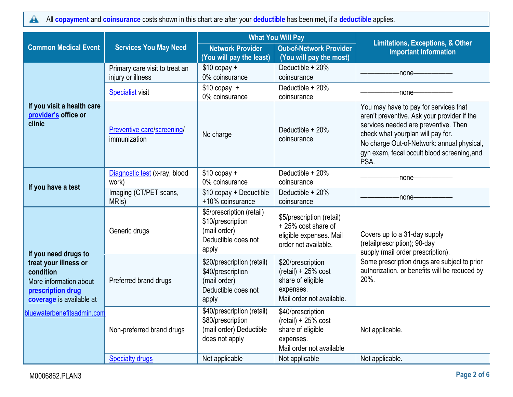All **[copayment](https://www.healthcare.gov/sbc-glossary/#copayment)** and **[coinsurance](https://www.healthcare.gov/sbc-glossary/#coinsurance)** costs shown in this chart are after your **[deductible](https://www.healthcare.gov/sbc-glossary/#deductible)** has been met, if a **[deductible](https://www.healthcare.gov/sbc-glossary/#deductible)** applies.  $\blacktriangle$ 

|                                                                                                               |                                                     |                                                                                                 | <b>What You Will Pay</b>                                                                                  |                                                                                                                                                                                                                                                                        |
|---------------------------------------------------------------------------------------------------------------|-----------------------------------------------------|-------------------------------------------------------------------------------------------------|-----------------------------------------------------------------------------------------------------------|------------------------------------------------------------------------------------------------------------------------------------------------------------------------------------------------------------------------------------------------------------------------|
| <b>Common Medical Event</b>                                                                                   | <b>Services You May Need</b>                        | <b>Network Provider</b><br>(You will pay the least)                                             | <b>Out-of-Network Provider</b><br>(You will pay the most)                                                 | <b>Limitations, Exceptions, &amp; Other</b><br><b>Important Information</b>                                                                                                                                                                                            |
|                                                                                                               | Primary care visit to treat an<br>injury or illness | $$10$ copay +<br>0% coinsurance                                                                 | Deductible + 20%<br>coinsurance                                                                           | -none-                                                                                                                                                                                                                                                                 |
|                                                                                                               | <b>Specialist visit</b>                             | $$10$ copay +<br>0% coinsurance                                                                 | Deductible + 20%<br>coinsurance                                                                           | -none-                                                                                                                                                                                                                                                                 |
| If you visit a health care<br>provider's office or<br>clinic                                                  | Preventive care/screening/<br>immunization          | No charge                                                                                       | Deductible + 20%<br>coinsurance                                                                           | You may have to pay for services that<br>aren't preventive. Ask your provider if the<br>services needed are preventive. Then<br>check what yourplan will pay for.<br>No charge Out-of-Network: annual physical,<br>gyn exam, fecal occult blood screening, and<br>PSA. |
|                                                                                                               | Diagnostic test (x-ray, blood<br>work)              | $$10$ copay +<br>0% coinsurance                                                                 | Deductible + 20%<br>coinsurance                                                                           | -none-------                                                                                                                                                                                                                                                           |
| If you have a test                                                                                            | Imaging (CT/PET scans,<br>MRI <sub>s</sub> )        | \$10 copay + Deductible<br>+10% coinsurance                                                     | Deductible + 20%<br>coinsurance                                                                           | -none-                                                                                                                                                                                                                                                                 |
| If you need drugs to                                                                                          | Generic drugs                                       | \$5/prescription (retail)<br>\$10/prescription<br>(mail order)<br>Deductible does not<br>apply  | \$5/prescription (retail)<br>+25% cost share of<br>eligible expenses. Mail<br>order not available.        | Covers up to a 31-day supply<br>(retailprescription); 90-day<br>supply (mail order prescription).                                                                                                                                                                      |
| treat your illness or<br>condition<br>More information about<br>prescription drug<br>coverage is available at | Preferred brand drugs                               | \$20/prescription (retail)<br>\$40/prescription<br>(mail order)<br>Deductible does not<br>apply | \$20/prescription<br>$(retail) + 25% cost$<br>share of eligible<br>expenses.<br>Mail order not available. | Some prescription drugs are subject to prior<br>authorization, or benefits will be reduced by<br>20%.                                                                                                                                                                  |
| bluewaterbenefitsadmin.com                                                                                    | Non-preferred brand drugs                           | \$40/prescription (retail)<br>\$80/prescription<br>(mail order) Deductible<br>does not apply    | \$40/prescription<br>$(retail) + 25% cost$<br>share of eligible<br>expenses.<br>Mail order not available  | Not applicable.                                                                                                                                                                                                                                                        |
|                                                                                                               | <b>Specialty drugs</b>                              | Not applicable                                                                                  | Not applicable                                                                                            | Not applicable.                                                                                                                                                                                                                                                        |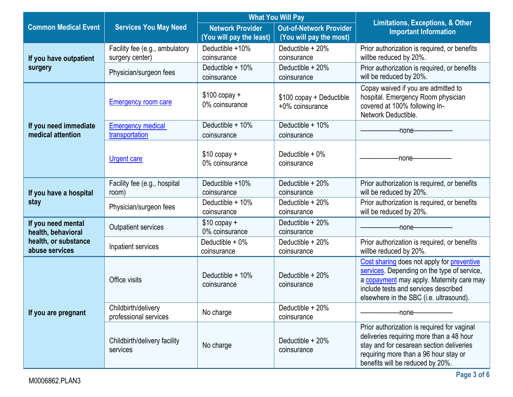|                                            |                                                   |                                                     | <b>What You Will Pay</b>                                  |                                                                                                                                                                                                                           |
|--------------------------------------------|---------------------------------------------------|-----------------------------------------------------|-----------------------------------------------------------|---------------------------------------------------------------------------------------------------------------------------------------------------------------------------------------------------------------------------|
| <b>Common Medical Event</b>                | <b>Services You May Need</b>                      | <b>Network Provider</b><br>(You will pay the least) | <b>Out-of-Network Provider</b><br>(You will pay the most) | <b>Limitations, Exceptions, &amp; Other</b><br><b>Important Information</b>                                                                                                                                               |
| If you have outpatient                     | Facility fee (e.g., ambulatory<br>surgery center) | Deductible +10%<br>coinsurance                      | Deductible + 20%<br>coinsurance                           | Prior authorization is required, or benefits<br>willbe reduced by 20%.                                                                                                                                                    |
| surgery                                    | Physician/surgeon fees                            | Deductible + 10%<br>coinsurance                     | Deductible + 20%<br>coinsurance                           | Prior authorization is required, or benefits<br>will be reduced by 20%.                                                                                                                                                   |
|                                            | <b>Emergency room care</b>                        | $$100$ copay +<br>0% coinsurance                    | \$100 copay + Deductible<br>+0% coinsurance               | Copay waived if you are admitted to<br>hospital. Emergency Room physician<br>covered at 100% following In-<br>Network Deductible.                                                                                         |
| If you need immediate<br>medical attention | <b>Emergency medical</b><br>transportation        | Deductible + 10%<br>coinsurance                     | Deductible + 10%<br>coinsurance                           | -none-                                                                                                                                                                                                                    |
|                                            | <b>Urgent care</b>                                | $$10$ copay +<br>0% coinsurance                     | Deductible $+0\%$<br>coinsurance                          | -none-                                                                                                                                                                                                                    |
| If you have a hospital                     | Facility fee (e.g., hospital<br>room)             | Deductible +10%<br>coinsurance                      | Deductible + 20%<br>coinsurance                           | Prior authorization is required, or benefits<br>will be reduced by 20%.                                                                                                                                                   |
| stay                                       | Physician/surgeon fees                            | Deductible + 10%<br>coinsurance                     | Deductible + 20%<br>coinsurance                           | Prior authorization is required, or benefits<br>will be reduced by 20%.                                                                                                                                                   |
| If you need mental<br>health, behavioral   | Outpatient services                               | $$10$ copay +<br>0% coinsurance                     | Deductible + 20%<br>coinsurance                           | -none-                                                                                                                                                                                                                    |
| health, or substance<br>abuse services     | Inpatient services                                | Deductible + 0%<br>coinsurance                      | Deductible + 20%<br>coinsurance                           | Prior authorization is required, or benefits<br>willbe reduced by 20%.                                                                                                                                                    |
|                                            | Office visits                                     | Deductible + 10%<br>coinsurance                     | Deductible $+20%$<br>coinsurance                          | Cost sharing does not apply for preventive<br>services. Depending on the type of service,<br>a copayment may apply. Maternity care may<br>include tests and services described<br>elsewhere in the SBC (i.e. ultrasound). |
| If you are pregnant                        | Childbirth/delivery<br>professional services      | No charge                                           | Deductible $+20%$<br>coinsurance                          | -none-                                                                                                                                                                                                                    |
|                                            | Childbirth/delivery facility<br>services          | No charge                                           | Deductible $+20%$<br>coinsurance                          | Prior authorization is required for vaginal<br>deliveries requiring more than a 48 hour<br>stay and for cesarean section deliveries<br>requiring more than a 96 hour stay or<br>benefits will be reduced by 20%.          |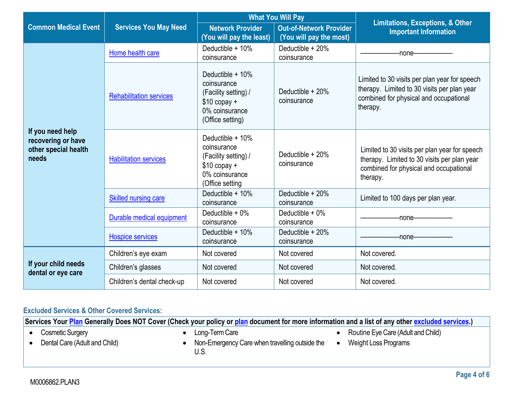|                                                                         |                                |                                                                                                                  | <b>What You Will Pay</b>                                  |                                                                                                                                                    |
|-------------------------------------------------------------------------|--------------------------------|------------------------------------------------------------------------------------------------------------------|-----------------------------------------------------------|----------------------------------------------------------------------------------------------------------------------------------------------------|
| <b>Common Medical Event</b>                                             | <b>Services You May Need</b>   | <b>Network Provider</b><br>(You will pay the least)                                                              | <b>Out-of-Network Provider</b><br>(You will pay the most) | <b>Limitations, Exceptions, &amp; Other</b><br><b>Important Information</b>                                                                        |
|                                                                         | Home health care               | Deductible $+10\%$<br>coinsurance                                                                                | Deductible + 20%<br>coinsurance                           | -none-                                                                                                                                             |
|                                                                         | <b>Rehabilitation services</b> | Deductible $+10\%$<br>coinsurance<br>(Facility setting) /<br>$$10$ copay +<br>0% coinsurance<br>(Office setting) | Deductible $+20\%$<br>coinsurance                         | Limited to 30 visits per plan year for speech<br>therapy. Limited to 30 visits per plan year<br>combined for physical and occupational<br>therapy. |
| If you need help<br>recovering or have<br>other special health<br>needs | <b>Habilitation services</b>   | Deductible $+10\%$<br>coinsurance<br>(Facility setting) /<br>$$10$ copay +<br>0% coinsurance<br>(Office setting  | Deductible $+20%$<br>coinsurance                          | Limited to 30 visits per plan year for speech<br>therapy. Limited to 30 visits per plan year<br>combined for physical and occupational<br>therapy. |
|                                                                         | <b>Skilled nursing care</b>    | Deductible $+10\%$<br>coinsurance                                                                                | Deductible $+20\%$<br>coinsurance                         | Limited to 100 days per plan year.                                                                                                                 |
|                                                                         | Durable medical equipment      | Deductible $+0\%$<br>coinsurance                                                                                 | Deductible $+0\%$<br>coinsurance                          | -none-                                                                                                                                             |
|                                                                         | Hospice services               | Deductible + 10%<br>coinsurance                                                                                  | Deductible + 20%<br>coinsurance                           | -none-                                                                                                                                             |
|                                                                         | Children's eye exam            | Not covered                                                                                                      | Not covered                                               | Not covered.                                                                                                                                       |
| If your child needs<br>dental or eye care                               | Children's glasses             | Not covered                                                                                                      | Not covered                                               | Not covered.                                                                                                                                       |
|                                                                         | Children's dental check-up     | Not covered                                                                                                      | Not covered                                               | Not covered.                                                                                                                                       |

# **Excluded Services & Other Covered Services:**

**Services Your [Plan](https://www.healthcare.gov/sbc-glossary/#plan) Generally Does NOT Cover (Check your policy or [plan](https://www.healthcare.gov/sbc-glossary/#plan) document for more information and a list of any other [excluded services.](https://www.healthcare.gov/sbc-glossary/#excluded-services))**

- Cosmetic Surgery
- Dental Care (Adult and Child)
- Long-Term Care
- Non-Emergency Care when travelling outside the U.S.
- Routine Eye Care (Adult and Child)
- Weight Loss Programs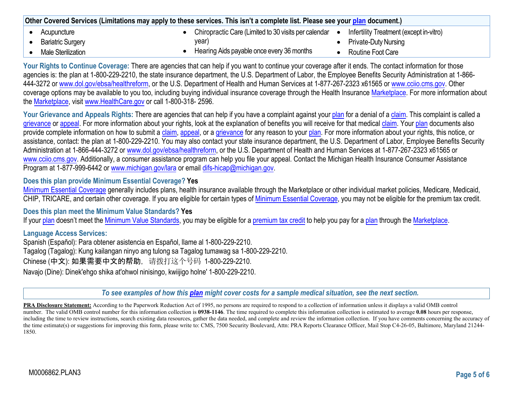| Other Covered Services (Limitations may apply to these services. This isn't a complete list. Please see your plan document.) |                                                        |                                         |
|------------------------------------------------------------------------------------------------------------------------------|--------------------------------------------------------|-----------------------------------------|
| Acupuncture                                                                                                                  | Chiropractic Care (Limited to 30 visits per calendar ● | Infertility Treatment (except in-vitro) |
| <b>Bariatric Surgery</b>                                                                                                     | year)                                                  | <b>Private-Duty Nursing</b>             |
| Male Sterilization                                                                                                           | Hearing Aids payable once every 36 months              | Routine Foot Care                       |

**Your Rights to Continue Coverage:** There are agencies that can help if you want to continue your coverage after it ends. The contact information for those agencies is: the plan at 1-800-229-2210, the state insurance department, the U.S. Department of Labor, the Employee Benefits Security Administration at 1-866-444-3272 or [www.dol.gov/ebsa/healthreform, o](http://www.dol.gov/ebsa/healthreform)r the U.S. Department of Health and Human Services at 1-877-267-2323 x61565 or [www.cciio.cms.gov. O](http://www.cciio.cms.gov/)ther coverage options may be available to you too, including buying individual insurance coverage through the Health Insurance Marketplace. For more information about the Marketplace, visit [www.HealthCare.gov](http://www.healthcare.gov/) or call 1-800-318- 2596.

Your Grievance and Appeals Rights: There are agencies that can help if you have a complaint against your plan for a denial of a claim. This complaint is called a grievance or appeal. For more information about your rights, look at the explanation of benefits you will receive for that medical claim. Your plan documents also provide complete information on how to submit a claim, appeal, or a grievance for any reason to your plan. For more information about your rights, this notice, or assistance, contact: the plan at 1-800-229-2210. You may also contact your state insurance department, the U.S. Department of Labor, Employee Benefits Security Administration at 1-866-444-3272 or [www.dol.gov/ebsa/healthreform, or](http://www.dol.gov/ebsa/healthreform) the U.S. Department of Health and Human Services at 1-877-267-2323 x61565 or [www.cciio.cms.gov. A](http://www.cciio.cms.gov/)dditionally, a consumer assistance program can help you file your appeal. Contact the Michigan Health Insurance Consumer Assistance Program at 1-877-999-6442 or [www.michigan.gov/lara](http://www.michigan.gov/lara) or email difs-hicap@michigan.gov.

### **Does this plan provide Minimum Essential Coverage? Yes**

Minimum Essential Coverage generally includes plans, health insurance available through the Marketplace or other individual market policies, Medicare, Medicaid, CHIP, TRICARE, and certain other coverage. If you are eligible for certain types of Minimum Essential Coverage, you may not be eligible for the premium tax credit.

### **Does this plan meet the Minimum Value Standards? Yes**

If your plan doesn't meet the Minimum Value Standards, you may be eligible for a premium tax credit to help you pay for a plan through the Marketplace.

### **Language Access Services:**

Spanish (Español): Para obtener asistencia en Español, llame al 1-800-229-2210. Tagalog (Tagalog): Kung kailangan ninyo ang tulong sa Tagalog tumawag sa 1-800-229-2210. Chinese (中文): 如果需要中文的帮助,请拨打这个号码 1-800-229-2210. Navajo (Dine): Dinek'ehgo shika at'ohwol ninisingo, kwiijigo holne' 1-800-229-2210.

*To see examples of how this [plan](https://www.healthcare.gov/sbc-glossary/#plan) might cover costs for a sample medical situation, see the next section.*

**PRA Disclosure Statement:** According to the Paperwork Reduction Act of 1995, no persons are required to respond to a collection of information unless it displays a valid OMB control number. The valid OMB control number for this information collection is **0938-1146**. The time required to complete this information collection is estimated to average **0.08** hours per response, including the time to review instructions, search existing data resources, gather the data needed, and complete and review the information collection. If you have comments concerning the accuracy of the time estimate(s) or suggestions for improving this form, please write to: CMS, 7500 Security Boulevard, Attn: PRA Reports Clearance Officer, Mail Stop C4-26-05, Baltimore, Maryland 21244-1850.